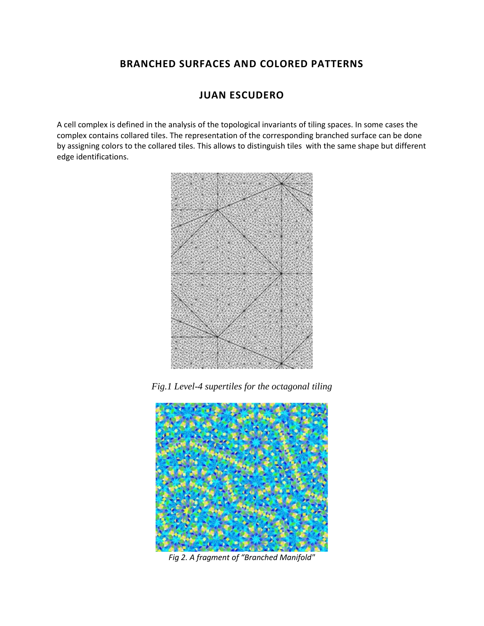## **BRANCHED SURFACES AND COLORED PATTERNS**

# **JUAN ESCUDERO**

A cell complex is defined in the analysis of the topological invariants of tiling spaces. In some cases the complex contains collared tiles. The representation of the corresponding branched surface can be done by assigning colors to the collared tiles. This allows to distinguish tiles with the same shape but different edge identifications.



*Fig.1 Level-4 supertiles for the octagonal tiling*



*Fig 2. A fragment of "Branched Manifold"*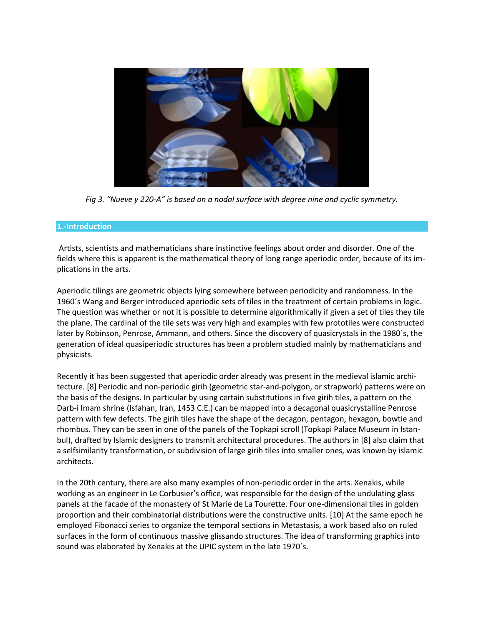

*Fig 3. "Nueve y 220-A" is based on a nodal surface with degree nine and cyclic symmetry.*

### **1.-Introduction**

Artists, scientists and mathematicians share instinctive feelings about order and disorder. One of the fields where this is apparent is the mathematical theory of long range aperiodic order, because of its implications in the arts.

Aperiodic tilings are geometric objects lying somewhere between periodicity and randomness. In the 1960´s Wang and Berger introduced aperiodic sets of tiles in the treatment of certain problems in logic. The question was whether or not it is possible to determine algorithmically if given a set of tiles they tile the plane. The cardinal of the tile sets was very high and examples with few prototiles were constructed later by Robinson, Penrose, Ammann, and others. Since the discovery of quasicrystals in the 1980´s, the generation of ideal quasiperiodic structures has been a problem studied mainly by mathematicians and physicists.

Recently it has been suggested that aperiodic order already was present in the medieval islamic architecture. [8] Periodic and non-periodic girih (geometric star-and-polygon, or strapwork) patterns were on the basis of the designs. In particular by using certain substitutions in five girih tiles, a pattern on the Darb-i Imam shrine (Isfahan, Iran, 1453 C.E.) can be mapped into a decagonal quasicrystalline Penrose pattern with few defects. The girih tiles have the shape of the decagon, pentagon, hexagon, bowtie and rhombus. They can be seen in one of the panels of the Topkapi scroll (Topkapi Palace Museum in Istanbul), drafted by Islamic designers to transmit architectural procedures. The authors in [8] also claim that a selfsimilarity transformation, or subdivision of large girih tiles into smaller ones, was known by islamic architects.

In the 20th century, there are also many examples of non-periodic order in the arts. Xenakis, while working as an engineer in Le Corbusier's office, was responsible for the design of the undulating glass panels at the facade of the monastery of St Marie de La Tourette. Four one-dimensional tiles in golden proportion and their combinatorial distributions were the constructive units. [10] At the same epoch he employed Fibonacci series to organize the temporal sections in Metastasis, a work based also on ruled surfaces in the form of continuous massive glissando structures. The idea of transforming graphics into sound was elaborated by Xenakis at the UPIC system in the late 1970´s.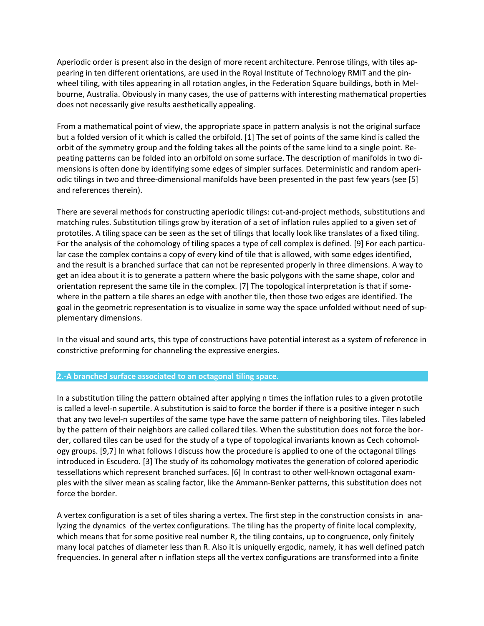Aperiodic order is present also in the design of more recent architecture. Penrose tilings, with tiles appearing in ten different orientations, are used in the Royal Institute of Technology RMIT and the pinwheel tiling, with tiles appearing in all rotation angles, in the Federation Square buildings, both in Melbourne, Australia. Obviously in many cases, the use of patterns with interesting mathematical properties does not necessarily give results aesthetically appealing.

From a mathematical point of view, the appropriate space in pattern analysis is not the original surface but a folded version of it which is called the orbifold. [1] The set of points of the same kind is called the orbit of the symmetry group and the folding takes all the points of the same kind to a single point. Repeating patterns can be folded into an orbifold on some surface. The description of manifolds in two dimensions is often done by identifying some edges of simpler surfaces. Deterministic and random aperiodic tilings in two and three-dimensional manifolds have been presented in the past few years (see [5] and references therein).

There are several methods for constructing aperiodic tilings: cut-and-project methods, substitutions and matching rules. Substitution tilings grow by iteration of a set of inflation rules applied to a given set of prototiles. A tiling space can be seen as the set of tilings that locally look like translates of a fixed tiling. For the analysis of the cohomology of tiling spaces a type of cell complex is defined. [9] For each particular case the complex contains a copy of every kind of tile that is allowed, with some edges identified, and the result is a branched surface that can not be represented properly in three dimensions. A way to get an idea about it is to generate a pattern where the basic polygons with the same shape, color and orientation represent the same tile in the complex. [7] The topological interpretation is that if somewhere in the pattern a tile shares an edge with another tile, then those two edges are identified. The goal in the geometric representation is to visualize in some way the space unfolded without need of supplementary dimensions.

In the visual and sound arts, this type of constructions have potential interest as a system of reference in constrictive preforming for channeling the expressive energies.

### **2.-A branched surface associated to an octagonal tiling space.**

In a substitution tiling the pattern obtained after applying n times the inflation rules to a given prototile is called a level-n supertile. A substitution is said to force the border if there is a positive integer n such that any two level-n supertiles of the same type have the same pattern of neighboring tiles. Tiles labeled by the pattern of their neighbors are called collared tiles. When the substitution does not force the border, collared tiles can be used for the study of a type of topological invariants known as Cech cohomology groups. [9,7] In what follows I discuss how the procedure is applied to one of the octagonal tilings introduced in Escudero. [3] The study of its cohomology motivates the generation of colored aperiodic tessellations which represent branched surfaces. [6] In contrast to other well-known octagonal examples with the silver mean as scaling factor, like the Ammann-Benker patterns, this substitution does not force the border.

A vertex configuration is a set of tiles sharing a vertex. The first step in the construction consists in analyzing the dynamics of the vertex configurations. The tiling has the property of finite local complexity, which means that for some positive real number R, the tiling contains, up to congruence, only finitely many local patches of diameter less than R. Also it is uniquelly ergodic, namely, it has well defined patch frequencies. In general after n inflation steps all the vertex configurations are transformed into a finite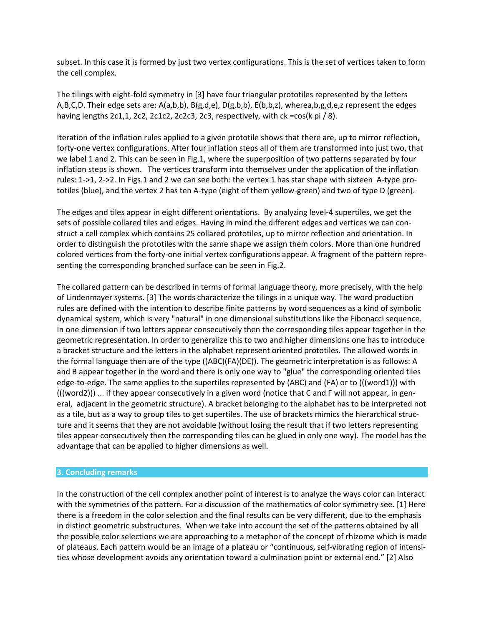subset. In this case it is formed by just two vertex configurations. This is the set of vertices taken to form the cell complex.

The tilings with eight-fold symmetry in [3] have four triangular prototiles represented by the letters A,B,C,D. Their edge sets are: A(a,b,b), B(g,d,e), D(g,b,b), E(b,b,z), wherea,b,g,d,e,z represent the edges having lengths 2c1,1, 2c2, 2c1c2, 2c2c3, 2c3, respectively, with ck =cos(k pi / 8).

Iteration of the inflation rules applied to a given prototile shows that there are, up to mirror reflection, forty-one vertex configurations. After four inflation steps all of them are transformed into just two, that we label 1 and 2. This can be seen in Fig.1, where the superposition of two patterns separated by four inflation steps is shown. The vertices transform into themselves under the application of the inflation rules: 1->1, 2->2. In Figs.1 and 2 we can see both: the vertex 1 has star shape with sixteen A-type prototiles (blue), and the vertex 2 has ten A-type (eight of them yellow-green) and two of type D (green).

The edges and tiles appear in eight different orientations. By analyzing level-4 supertiles, we get the sets of possible collared tiles and edges. Having in mind the different edges and vertices we can construct a cell complex which contains 25 collared prototiles, up to mirror reflection and orientation. In order to distinguish the prototiles with the same shape we assign them colors. More than one hundred colored vertices from the forty-one initial vertex configurations appear. A fragment of the pattern representing the corresponding branched surface can be seen in Fig.2.

The collared pattern can be described in terms of formal language theory, more precisely, with the help of Lindenmayer systems. [3] The words characterize the tilings in a unique way. The word production rules are defined with the intention to describe finite patterns by word sequences as a kind of symbolic dynamical system, which is very "natural" in one dimensional substitutions like the Fibonacci sequence. In one dimension if two letters appear consecutively then the corresponding tiles appear together in the geometric representation. In order to generalize this to two and higher dimensions one has to introduce a bracket structure and the letters in the alphabet represent oriented prototiles. The allowed words in the formal language then are of the type ((ABC)(FA)(DE)). The geometric interpretation is as follows: A and B appear together in the word and there is only one way to "glue" the corresponding oriented tiles edge-to-edge. The same applies to the supertiles represented by (ABC) and (FA) or to (((word1))) with (((word2))) ... if they appear consecutively in a given word (notice that C and F will not appear, in general, adjacent in the geometric structure). A bracket belonging to the alphabet has to be interpreted not as a tile, but as a way to group tiles to get supertiles. The use of brackets mimics the hierarchical structure and it seems that they are not avoidable (without losing the result that if two letters representing tiles appear consecutively then the corresponding tiles can be glued in only one way). The model has the advantage that can be applied to higher dimensions as well.

### **3. Concluding remarks**

In the construction of the cell complex another point of interest is to analyze the ways color can interact with the symmetries of the pattern. For a discussion of the mathematics of color symmetry see. [1] Here there is a freedom in the color selection and the final results can be very different, due to the emphasis in distinct geometric substructures. When we take into account the set of the patterns obtained by all the possible color selections we are approaching to a metaphor of the concept of rhizome which is made of plateaus. Each pattern would be an image of a plateau or "continuous, self-vibrating region of intensities whose development avoids any orientation toward a culmination point or external end." [2] Also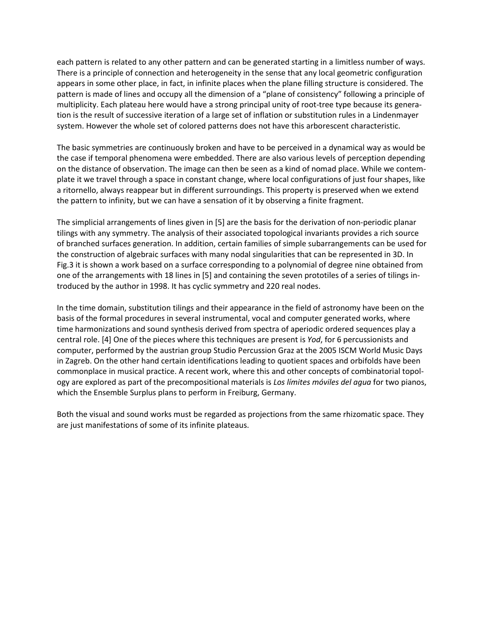each pattern is related to any other pattern and can be generated starting in a limitless number of ways. There is a principle of connection and heterogeneity in the sense that any local geometric configuration appears in some other place, in fact, in infinite places when the plane filling structure is considered. The pattern is made of lines and occupy all the dimension of a "plane of consistency" following a principle of multiplicity. Each plateau here would have a strong principal unity of root-tree type because its generation is the result of successive iteration of a large set of inflation or substitution rules in a Lindenmayer system. However the whole set of colored patterns does not have this arborescent characteristic.

The basic symmetries are continuously broken and have to be perceived in a dynamical way as would be the case if temporal phenomena were embedded. There are also various levels of perception depending on the distance of observation. The image can then be seen as a kind of nomad place. While we contemplate it we travel through a space in constant change, where local configurations of just four shapes, like a ritornello, always reappear but in different surroundings. This property is preserved when we extend the pattern to infinity, but we can have a sensation of it by observing a finite fragment.

The simplicial arrangements of lines given in [5] are the basis for the derivation of non-periodic planar tilings with any symmetry. The analysis of their associated topological invariants provides a rich source of branched surfaces generation. In addition, certain families of simple subarrangements can be used for the construction of algebraic surfaces with many nodal singularities that can be represented in 3D. In Fig.3 it is shown a work based on a surface corresponding to a polynomial of degree nine obtained from one of the arrangements with 18 lines in [5] and containing the seven prototiles of a series of tilings introduced by the author in 1998. It has cyclic symmetry and 220 real nodes.

In the time domain, substitution tilings and their appearance in the field of astronomy have been on the basis of the formal procedures in several instrumental, vocal and computer generated works, where time harmonizations and sound synthesis derived from spectra of aperiodic ordered sequences play a central role. [4] One of the pieces where this techniques are present is *Yod*, for 6 percussionists and computer, performed by the austrian group Studio Percussion Graz at the 2005 ISCM World Music Days in Zagreb. On the other hand certain identifications leading to quotient spaces and orbifolds have been commonplace in musical practice. A recent work, where this and other concepts of combinatorial topology are explored as part of the precompositional materials is *Los límites móviles del agua* for two pianos, which the Ensemble Surplus plans to perform in Freiburg, Germany.

Both the visual and sound works must be regarded as projections from the same rhizomatic space. They are just manifestations of some of its infinite plateaus.